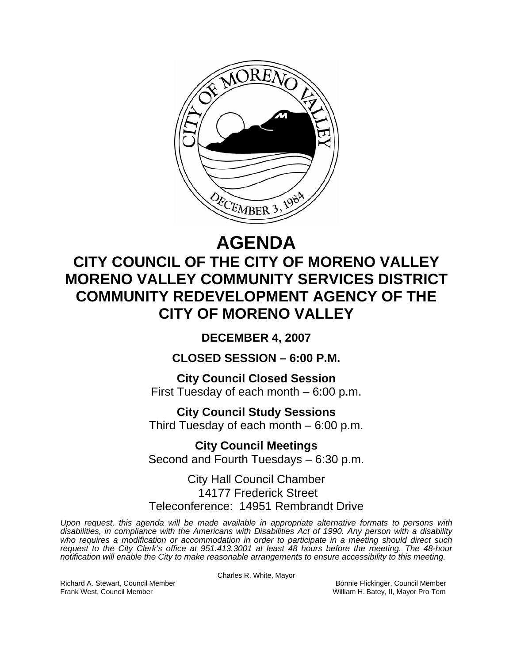

# **AGENDA CITY COUNCIL OF THE CITY OF MORENO VALLEY MORENO VALLEY COMMUNITY SERVICES DISTRICT COMMUNITY REDEVELOPMENT AGENCY OF THE CITY OF MORENO VALLEY**

**DECEMBER 4, 2007** 

**CLOSED SESSION – 6:00 P.M.** 

**City Council Closed Session**  First Tuesday of each month – 6:00 p.m.

**City Council Study Sessions**  Third Tuesday of each month – 6:00 p.m.

**City Council Meetings**  Second and Fourth Tuesdays – 6:30 p.m.

City Hall Council Chamber 14177 Frederick Street Teleconference: 14951 Rembrandt Drive

*Upon request, this agenda will be made available in appropriate alternative formats to persons with disabilities, in compliance with the Americans with Disabilities Act of 1990. Any person with a disability who requires a modification or accommodation in order to participate in a meeting should direct such request to the City Clerk's office at 951.413.3001 at least 48 hours before the meeting. The 48-hour notification will enable the City to make reasonable arrangements to ensure accessibility to this meeting.* 

Charles R. White, Mayor

Richard A. Stewart, Council Member **Bonnie Flickinger, Council Member** Bonnie Flickinger, Council Member **Bonnie Flickinger, Council Member** Bonnie Flickinger, Council Member **Bonnie Flickinger**, II, Mayor Pro Tem William H. Batey, II, Mayor Pro Tem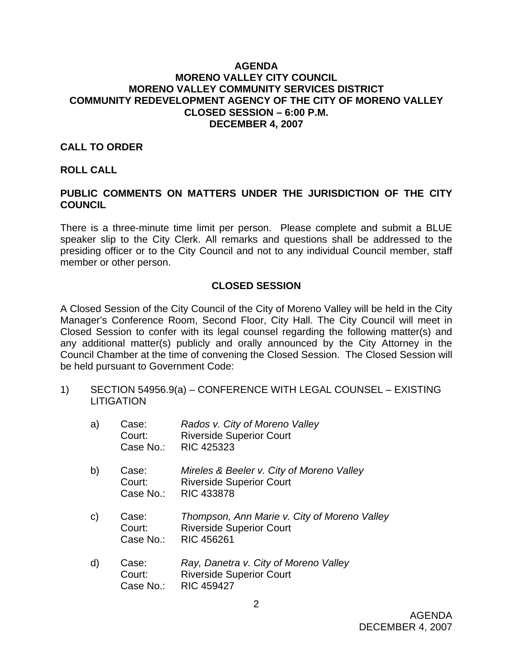#### **AGENDA MORENO VALLEY CITY COUNCIL MORENO VALLEY COMMUNITY SERVICES DISTRICT COMMUNITY REDEVELOPMENT AGENCY OF THE CITY OF MORENO VALLEY CLOSED SESSION – 6:00 P.M. DECEMBER 4, 2007**

#### **CALL TO ORDER**

#### **ROLL CALL**

## **PUBLIC COMMENTS ON MATTERS UNDER THE JURISDICTION OF THE CITY COUNCIL**

There is a three-minute time limit per person. Please complete and submit a BLUE speaker slip to the City Clerk. All remarks and questions shall be addressed to the presiding officer or to the City Council and not to any individual Council member, staff member or other person.

### **CLOSED SESSION**

A Closed Session of the City Council of the City of Moreno Valley will be held in the City Manager's Conference Room, Second Floor, City Hall. The City Council will meet in Closed Session to confer with its legal counsel regarding the following matter(s) and any additional matter(s) publicly and orally announced by the City Attorney in the Council Chamber at the time of convening the Closed Session. The Closed Session will be held pursuant to Government Code:

1) SECTION 54956.9(a) – CONFERENCE WITH LEGAL COUNSEL – EXISTING **LITIGATION** 

| a)           | Case:<br>Court:<br>Case No.: | Rados v. City of Moreno Valley<br><b>Riverside Superior Court</b><br><b>RIC 425323</b>        |
|--------------|------------------------------|-----------------------------------------------------------------------------------------------|
| b)           | Case:<br>Court:<br>Case No.: | Mireles & Beeler v. City of Moreno Valley<br><b>Riverside Superior Court</b><br>RIC 433878    |
| $\mathsf{C}$ | Case:<br>Court:<br>Case No.: | Thompson, Ann Marie v. City of Moreno Valley<br><b>Riverside Superior Court</b><br>RIC 456261 |
| d)           | Case:<br>Court:<br>Case No.: | Ray, Danetra v. City of Moreno Valley<br><b>Riverside Superior Court</b><br><b>RIC 459427</b> |